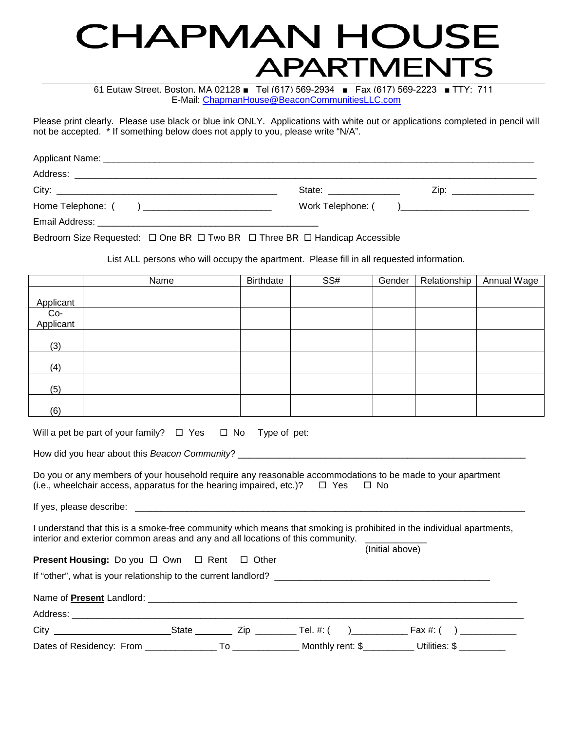# CHAPMAN HOUSE **APARTMENTS**

E-Mail: [ChapmanHouse@BeaconCommunitiesLLC.com](mailto:ChapmanHouse@BeaconCommunitiesLLC.com) 61 Eutaw Street, Boston, MA 02128 ■ Tel (617) 569-2934 ■ Fax (617) 569-2223 ■ TTY: 711

Please print clearly. Please use black or blue ink ONLY. Applications with white out or applications completed in pencil will not be accepted. \* If something below does not apply to you, please write "N/A".

|                                                                             | State: _________________ | Zip: __________________ |
|-----------------------------------------------------------------------------|--------------------------|-------------------------|
| Home Telephone: ( ) __________________________                              |                          |                         |
|                                                                             |                          |                         |
| Bedroom Size Requested:  □ One BR □ Two BR □ Three BR □ Handicap Accessible |                          |                         |

List ALL persons who will occupy the apartment. Please fill in all requested information.

|                  | Name | Birthdate | SS# | Gender | Relationship | <b>Annual Wage</b> |
|------------------|------|-----------|-----|--------|--------------|--------------------|
|                  |      |           |     |        |              |                    |
| Applicant        |      |           |     |        |              |                    |
| Co-<br>Applicant |      |           |     |        |              |                    |
|                  |      |           |     |        |              |                    |
|                  |      |           |     |        |              |                    |
| (3)              |      |           |     |        |              |                    |
|                  |      |           |     |        |              |                    |
| (4)              |      |           |     |        |              |                    |
|                  |      |           |     |        |              |                    |
| (5)              |      |           |     |        |              |                    |
|                  |      |           |     |        |              |                    |
| (6)              |      |           |     |        |              |                    |

|  | Will a pet be part of your family? $\Box$ Yes $\Box$ No Type of pet: |  |  |  |
|--|----------------------------------------------------------------------|--|--|--|
|  |                                                                      |  |  |  |

How did you hear about this *Beacon Community*? \_\_\_\_\_\_\_\_\_\_\_\_\_\_\_\_\_\_\_\_\_\_\_\_\_\_\_\_\_\_\_\_\_\_\_\_\_\_\_\_\_\_\_\_\_\_\_\_\_\_\_\_\_\_\_\_

Do you or any members of your household require any reasonable accommodations to be made to your apartment  $(i.e., where the line is a constant)$  wheelchair access, apparatus for the hearing impaired, etc.)?  $\Box$  Yes  $\Box$  No

If yes, please describe: \_\_\_\_\_\_\_\_\_\_\_\_\_\_\_\_\_\_\_\_\_\_\_\_\_\_\_\_\_\_\_\_\_\_\_\_\_\_\_\_\_\_\_\_\_\_\_\_\_\_\_\_\_\_\_\_\_\_\_\_\_\_\_\_\_\_\_\_\_\_\_\_\_\_\_\_

I understand that this is a smoke-free community which means that smoking is prohibited in the individual apartments, interior and exterior common areas and any and all locations of this community. (Initial above)

| <b>Present Housing:</b> Do you $\Box$ Own $\Box$ Rent $\Box$ Other |  |  |  |
|--------------------------------------------------------------------|--|--|--|
|                                                                    |  |  |  |
|                                                                    |  |  |  |
|                                                                    |  |  |  |
| City <b>Community</b>                                              |  |  |  |

Dates of Residency: From \_\_\_\_\_\_\_\_\_\_\_\_\_\_\_\_\_ To \_\_\_\_\_\_\_\_\_\_\_\_\_\_\_ Monthly rent: \$\_\_\_\_\_\_\_\_\_\_\_\_ Utilities: \$ \_\_\_\_\_\_\_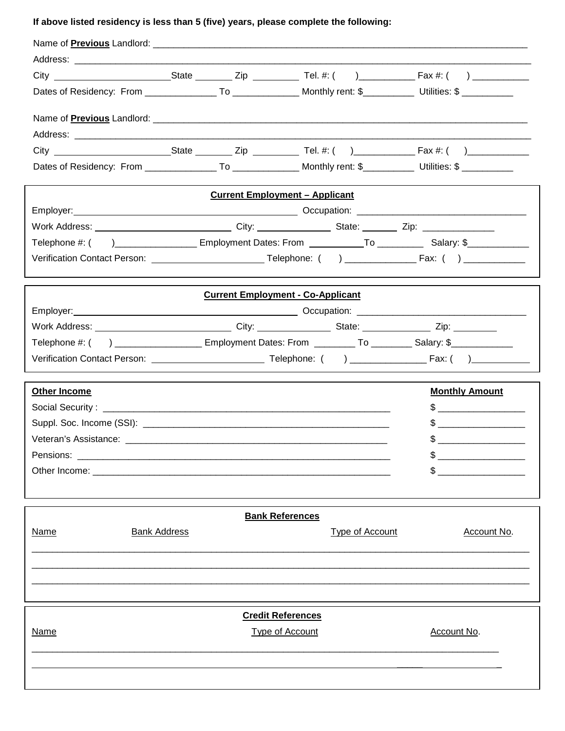## **If above listed residency is less than 5 (five) years, please complete the following:**

|                                                                                                                |                     |                                          |                        | Dates of Residency: From _________________To _______________ Monthly rent: \$____________ Utilities: \$ ________                                                                                                                                                                                                    |
|----------------------------------------------------------------------------------------------------------------|---------------------|------------------------------------------|------------------------|---------------------------------------------------------------------------------------------------------------------------------------------------------------------------------------------------------------------------------------------------------------------------------------------------------------------|
|                                                                                                                |                     |                                          |                        |                                                                                                                                                                                                                                                                                                                     |
|                                                                                                                |                     |                                          |                        |                                                                                                                                                                                                                                                                                                                     |
|                                                                                                                |                     |                                          |                        |                                                                                                                                                                                                                                                                                                                     |
|                                                                                                                |                     |                                          |                        |                                                                                                                                                                                                                                                                                                                     |
|                                                                                                                |                     | <b>Current Employment - Applicant</b>    |                        |                                                                                                                                                                                                                                                                                                                     |
|                                                                                                                |                     |                                          |                        |                                                                                                                                                                                                                                                                                                                     |
|                                                                                                                |                     |                                          |                        |                                                                                                                                                                                                                                                                                                                     |
|                                                                                                                |                     |                                          |                        | Telephone #: () ____________________ Employment Dates: From ____________To ___________ Salary: \$_____________                                                                                                                                                                                                      |
|                                                                                                                |                     |                                          |                        |                                                                                                                                                                                                                                                                                                                     |
|                                                                                                                |                     |                                          |                        |                                                                                                                                                                                                                                                                                                                     |
|                                                                                                                |                     | <b>Current Employment - Co-Applicant</b> |                        |                                                                                                                                                                                                                                                                                                                     |
|                                                                                                                |                     |                                          |                        |                                                                                                                                                                                                                                                                                                                     |
| Work Address: ________________________________City: ___________________State: _________________Zip: __________ |                     |                                          |                        |                                                                                                                                                                                                                                                                                                                     |
| Telephone #: () ______________________ Employment Dates: From __________ To _________ Salary: \$____________   |                     |                                          |                        |                                                                                                                                                                                                                                                                                                                     |
|                                                                                                                |                     |                                          |                        |                                                                                                                                                                                                                                                                                                                     |
| <b>Other Income</b>                                                                                            |                     |                                          |                        | <b>Monthly Amount</b>                                                                                                                                                                                                                                                                                               |
|                                                                                                                |                     |                                          |                        |                                                                                                                                                                                                                                                                                                                     |
|                                                                                                                |                     |                                          |                        | $\frac{1}{2}$ $\frac{1}{2}$ $\frac{1}{2}$ $\frac{1}{2}$ $\frac{1}{2}$ $\frac{1}{2}$ $\frac{1}{2}$ $\frac{1}{2}$ $\frac{1}{2}$ $\frac{1}{2}$ $\frac{1}{2}$ $\frac{1}{2}$ $\frac{1}{2}$ $\frac{1}{2}$ $\frac{1}{2}$ $\frac{1}{2}$ $\frac{1}{2}$ $\frac{1}{2}$ $\frac{1}{2}$ $\frac{1}{2}$ $\frac{1}{2}$ $\frac{1}{2}$ |
|                                                                                                                |                     |                                          |                        |                                                                                                                                                                                                                                                                                                                     |
|                                                                                                                |                     |                                          |                        |                                                                                                                                                                                                                                                                                                                     |
|                                                                                                                |                     |                                          |                        | $\sim$                                                                                                                                                                                                                                                                                                              |
|                                                                                                                |                     |                                          |                        |                                                                                                                                                                                                                                                                                                                     |
|                                                                                                                |                     | <b>Bank References</b>                   |                        |                                                                                                                                                                                                                                                                                                                     |
| <u>Name</u>                                                                                                    | <b>Bank Address</b> |                                          | <b>Type of Account</b> | Account No.                                                                                                                                                                                                                                                                                                         |
|                                                                                                                |                     |                                          |                        |                                                                                                                                                                                                                                                                                                                     |
|                                                                                                                |                     |                                          |                        |                                                                                                                                                                                                                                                                                                                     |
|                                                                                                                |                     |                                          |                        |                                                                                                                                                                                                                                                                                                                     |
|                                                                                                                |                     |                                          |                        |                                                                                                                                                                                                                                                                                                                     |
|                                                                                                                |                     | <b>Credit References</b>                 |                        |                                                                                                                                                                                                                                                                                                                     |
| <u>Name</u>                                                                                                    |                     | <b>Type of Account</b>                   |                        | Account No.                                                                                                                                                                                                                                                                                                         |
|                                                                                                                |                     |                                          |                        |                                                                                                                                                                                                                                                                                                                     |
|                                                                                                                |                     |                                          |                        |                                                                                                                                                                                                                                                                                                                     |
|                                                                                                                |                     |                                          |                        |                                                                                                                                                                                                                                                                                                                     |
|                                                                                                                |                     |                                          |                        |                                                                                                                                                                                                                                                                                                                     |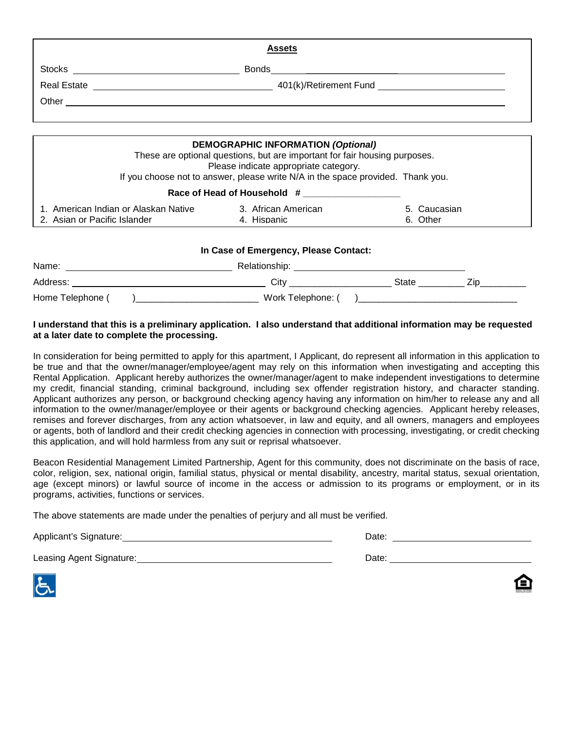| <b>Assets</b> |                                                                                                                         |  |  |  |
|---------------|-------------------------------------------------------------------------------------------------------------------------|--|--|--|
|               | Stocks                                                                                                                  |  |  |  |
|               |                                                                                                                         |  |  |  |
|               |                                                                                                                         |  |  |  |
|               |                                                                                                                         |  |  |  |
|               | <b>DEMOGRAPHIC INFORMATION (Optional)</b><br>These are optional questions, but are important for fair housing purposes. |  |  |  |

Please indicate appropriate category.

If you choose not to answer, please write N/A in the space provided. Thank you.

| Race of Head of Household # |  |
|-----------------------------|--|
|                             |  |

| - American Indian or Alaskan Native | African American | aucasian |
|-------------------------------------|------------------|----------|
| 2. Asian or Pacific Islander        | <b>Hispanic</b>  | Other    |

#### **In Case of Emergency, Please Contact:**

| Name:            | Relationship:     |       |     |
|------------------|-------------------|-------|-----|
| Address:         | Cit∖              | State | ∠ır |
| Home Telephone ( | Work Telephone: ( |       |     |

#### **I understand that this is a preliminary application. I also understand that additional information may be requested at a later date to complete the processing.**

In consideration for being permitted to apply for this apartment, I Applicant, do represent all information in this application to be true and that the owner/manager/employee/agent may rely on this information when investigating and accepting this Rental Application. Applicant hereby authorizes the owner/manager/agent to make independent investigations to determine my credit, financial standing, criminal background, including sex offender registration history, and character standing. Applicant authorizes any person, or background checking agency having any information on him/her to release any and all information to the owner/manager/employee or their agents or background checking agencies. Applicant hereby releases, remises and forever discharges, from any action whatsoever, in law and equity, and all owners, managers and employees or agents, both of landlord and their credit checking agencies in connection with processing, investigating, or credit checking this application, and will hold harmless from any suit or reprisal whatsoever.

Beacon Residential Management Limited Partnership, Agent for this community, does not discriminate on the basis of race, color, religion, sex, national origin, familial status, physical or mental disability, ancestry, marital status, sexual orientation, age (except minors) or lawful source of income in the access or admission to its programs or employment, or in its programs, activities, functions or services.

The above statements are made under the penalties of perjury and all must be verified.

Applicant's Signature: National Applicant's Signature: National Applicant's Signature: National Applicant's Signature:

Leasing Agent Signature: Date:

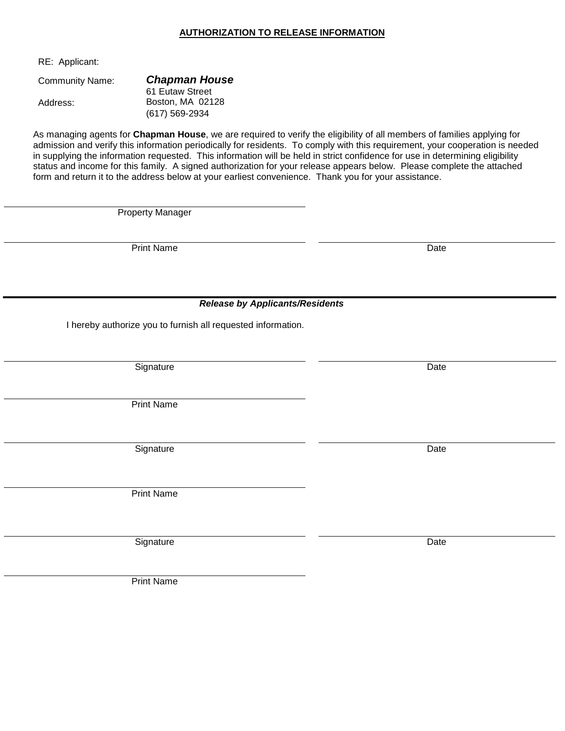#### **AUTHORIZATION TO RELEASE INFORMATION**

RE: Applicant:

Address:

61 Eutaw Street Boston, MA 02128 (617) 569-2934

As managing agents for **Chapman House**, we are required to verify the eligibility of all members of families applying for admission and verify this information periodically for residents. To comply with this requirement, your cooperation is needed in supplying the information requested. This information will be held in strict confidence for use in determining eligibility status and income for this family. A signed authorization for your release appears below. Please complete the attached form and return it to the address below at your earliest convenience. Thank you for your assistance.

Property Manager

Print Name Date

*Release by Applicants/Residents*

I hereby authorize you to furnish all requested information.

Signature Date Date of the Date of the Date of the Date of the Date of the Date of the Date of the Date of the

Print Name

Signature Date Date Date

Print Name

Signature Date Date Communications and the Date Date Date

Print Name

Community Name: *Chapman House*